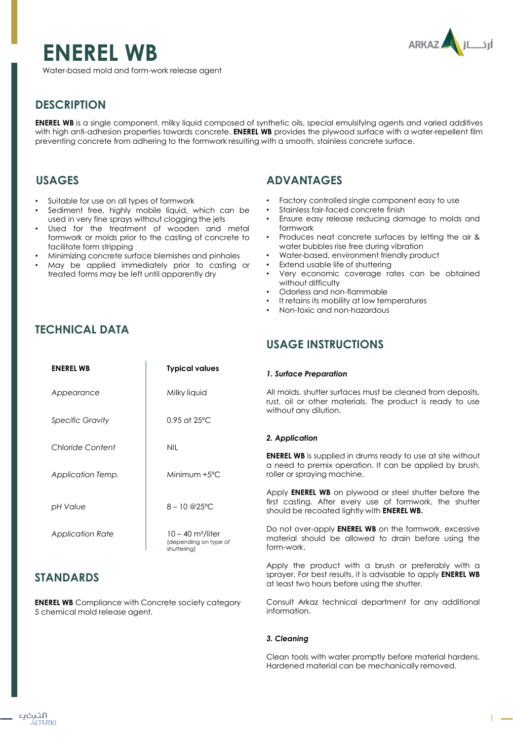# **ENEREL WB**



Water-based mold and form-work release agent

# **DESCRIPTION**

**ENEREL WB** is a single component, milky liquid composed of synthetic oils, special emulsifying agents and varied additives with high anti-adhesion properties towards concrete. **ENEREL WB** provides the plywood surface with a water-repellent film preventing concrete from adhering to the formwork resulting with a smooth, stainless concrete surface.

## **USAGES**

- Suitable for use on all types of formwork
- Sediment free, highly mobile liquid, which can be used in very fine sprays without clogging the jets
- Used for the treatment of wooden and metal formwork or molds prior to the casting of concrete to facilitate form stripping
- Minimizing concrete surface blemishes and pinholes
- May be applied immediately prior to casting or treated forms may be left until apparently dry

## **TECHNICAL DATA**

## **ADVANTAGES**

- Factory controlled single component easy to use
- Stainless fair-faced concrete finish
- Ensure easy release reducing damage to molds and formwork
- Produces neat concrete surfaces by letting the air & water bubbles rise free during vibration
- Water-based, environment friendly product
- Extend usable life of shuttering
- Very economic coverage rates can be obtained without difficulty
- Odorless and non-flammable
- It retains its mobility at low temperatures
- Non-toxic and non-hazardous

## **USAGE INSTRUCTIONS**

#### *1. Surface Preparation*

All molds, shutter surfaces must be cleaned from deposits, rust, oil or other materials. The product is ready to use without any dilution.

## *2. Application*

**ENEREL WB** is supplied in drums ready to use at site without a need to premix operation. It can be applied by brush, roller or spraying machine.

Apply **ENEREL WB** on plywood or steel shutter before the first casting. After every use of formwork, the shutter should be recoated lightly with **ENEREL WB.**

Do not over-apply **ENEREL WB** on the formwork, excessive material should be allowed to drain before using the form-work.

Apply the product with a brush or preferably with a sprayer. For best results, it is advisable to apply **ENEREL WB** at least two hours before using the shutter.

Consult Arkaz technical department for any additional information.

## *3. Cleaning*

Clean tools with water promptly before material hardens. Hardened material can be mechanically removed.

| <b>ENEREL WB</b>  | <b>Typical values</b>                                                   |
|-------------------|-------------------------------------------------------------------------|
| Appearance        | Milky liquid                                                            |
| Specific Gravity  | $0.95$ at 25°C                                                          |
| Chloride Content  | <b>NIL</b>                                                              |
| Application Temp. | Minimum $+5^{\circ}$ C                                                  |
| pH Value          | $8 - 10$ @ $25^{\circ}$ C                                               |
| Application Rate  | $10 - 40$ m <sup>2</sup> /liter<br>(depending on type of<br>shuttering) |

## **STANDARDS**

**ENEREL WB** Compliance with Concrete society category 5 chemical mold release agent.